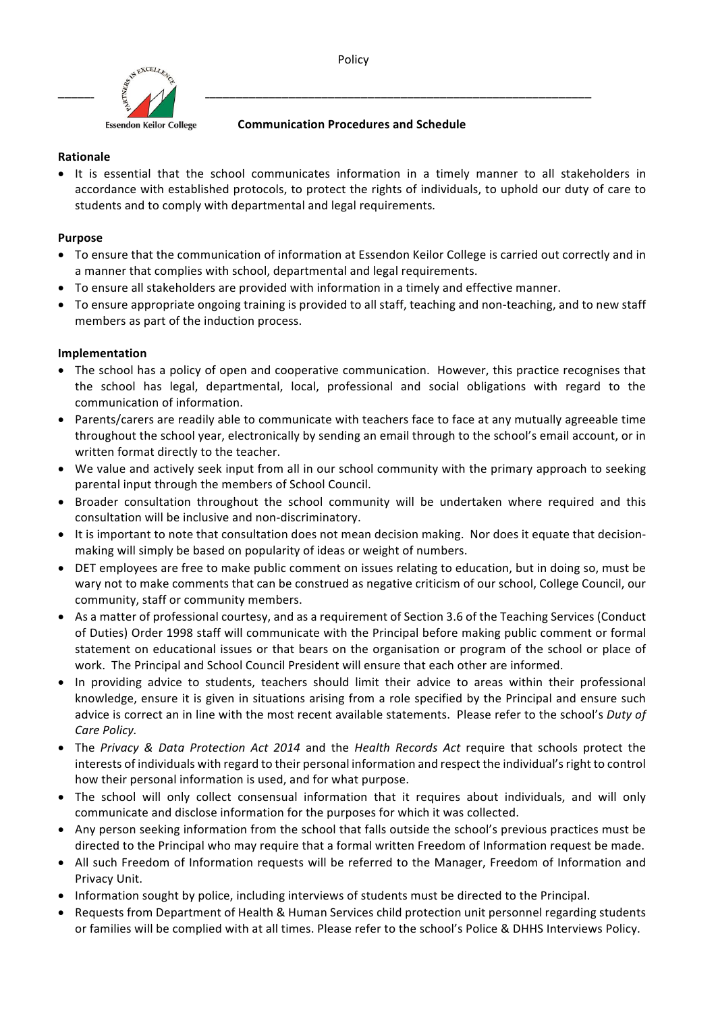

**Communication Procedures and Schedule** 

## **Rationale**

• It is essential that the school communicates information in a timely manner to all stakeholders in accordance with established protocols, to protect the rights of individuals, to uphold our duty of care to students and to comply with departmental and legal requirements.

# **Purpose**

- To ensure that the communication of information at Essendon Keilor College is carried out correctly and in a manner that complies with school, departmental and legal requirements.
- To ensure all stakeholders are provided with information in a timely and effective manner.
- To ensure appropriate ongoing training is provided to all staff, teaching and non-teaching, and to new staff members as part of the induction process.

## **Implementation**

- The school has a policy of open and cooperative communication. However, this practice recognises that the school has legal, departmental, local, professional and social obligations with regard to the communication of information.
- Parents/carers are readily able to communicate with teachers face to face at any mutually agreeable time throughout the school year, electronically by sending an email through to the school's email account, or in written format directly to the teacher.
- We value and actively seek input from all in our school community with the primary approach to seeking parental input through the members of School Council.
- Broader consultation throughout the school community will be undertaken where required and this consultation will be inclusive and non-discriminatory.
- It is important to note that consultation does not mean decision making. Nor does it equate that decisionmaking will simply be based on popularity of ideas or weight of numbers.
- DET employees are free to make public comment on issues relating to education, but in doing so, must be wary not to make comments that can be construed as negative criticism of our school, College Council, our community, staff or community members.
- As a matter of professional courtesy, and as a requirement of Section 3.6 of the Teaching Services (Conduct of Duties) Order 1998 staff will communicate with the Principal before making public comment or formal statement on educational issues or that bears on the organisation or program of the school or place of work. The Principal and School Council President will ensure that each other are informed.
- In providing advice to students, teachers should limit their advice to areas within their professional knowledge, ensure it is given in situations arising from a role specified by the Principal and ensure such advice is correct an in line with the most recent available statements. Please refer to the school's Duty of *Care Policy.*
- The Privacy & Data Protection Act 2014 and the Health Records Act require that schools protect the interests of individuals with regard to their personal information and respect the individual's right to control how their personal information is used, and for what purpose.
- The school will only collect consensual information that it requires about individuals, and will only communicate and disclose information for the purposes for which it was collected.
- Any person seeking information from the school that falls outside the school's previous practices must be directed to the Principal who may require that a formal written Freedom of Information request be made.
- All such Freedom of Information requests will be referred to the Manager, Freedom of Information and Privacy Unit.
- Information sought by police, including interviews of students must be directed to the Principal.
- Requests from Department of Health & Human Services child protection unit personnel regarding students or families will be complied with at all times. Please refer to the school's Police & DHHS Interviews Policy.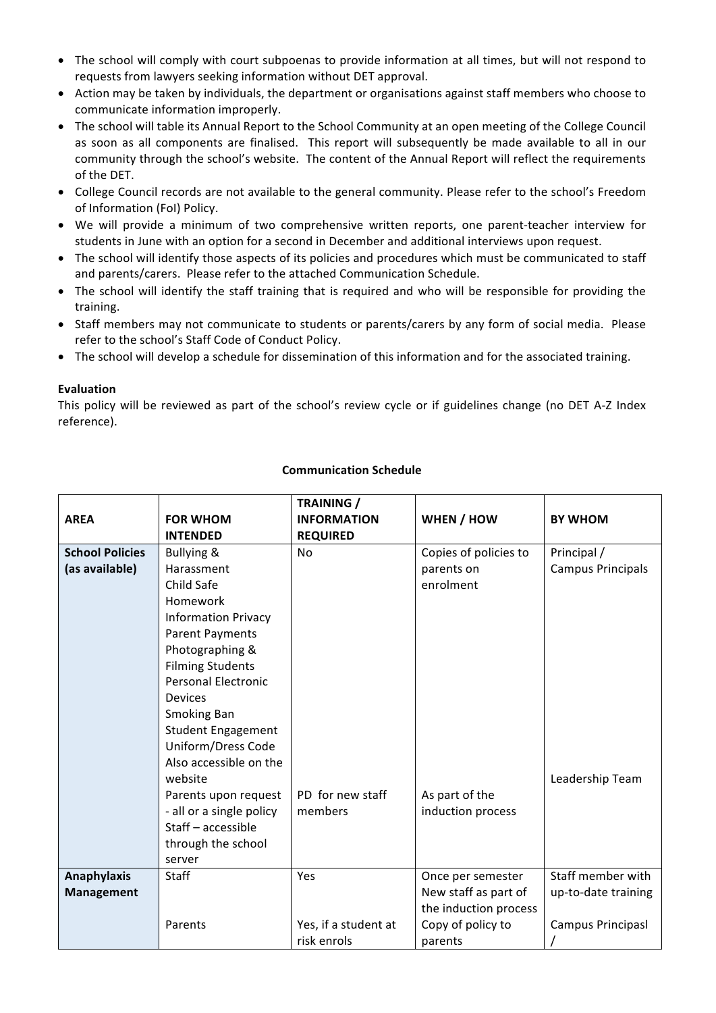- The school will comply with court subpoenas to provide information at all times, but will not respond to requests from lawyers seeking information without DET approval.
- Action may be taken by individuals, the department or organisations against staff members who choose to communicate information improperly.
- The school will table its Annual Report to the School Community at an open meeting of the College Council as soon as all components are finalised. This report will subsequently be made available to all in our community through the school's website. The content of the Annual Report will reflect the requirements of the DET.
- College Council records are not available to the general community. Please refer to the school's Freedom of Information (FoI) Policy.
- We will provide a minimum of two comprehensive written reports, one parent-teacher interview for students in June with an option for a second in December and additional interviews upon request.
- The school will identify those aspects of its policies and procedures which must be communicated to staff and parents/carers. Please refer to the attached Communication Schedule.
- The school will identify the staff training that is required and who will be responsible for providing the training.
- Staff members may not communicate to students or parents/carers by any form of social media. Please refer to the school's Staff Code of Conduct Policy.
- The school will develop a schedule for dissemination of this information and for the associated training.

### **Evaluation**

This policy will be reviewed as part of the school's review cycle or if guidelines change (no DET A-Z Index reference).

|                        |                            | <b>TRAINING</b> /    |                       |                          |
|------------------------|----------------------------|----------------------|-----------------------|--------------------------|
| <b>AREA</b>            | <b>FOR WHOM</b>            | <b>INFORMATION</b>   | WHEN / HOW            | <b>BY WHOM</b>           |
|                        | <b>INTENDED</b>            | <b>REQUIRED</b>      |                       |                          |
| <b>School Policies</b> | Bullying &                 | No                   | Copies of policies to | Principal /              |
| (as available)         | Harassment                 |                      | parents on            | <b>Campus Principals</b> |
|                        | Child Safe                 |                      | enrolment             |                          |
|                        | Homework                   |                      |                       |                          |
|                        | <b>Information Privacy</b> |                      |                       |                          |
|                        | <b>Parent Payments</b>     |                      |                       |                          |
|                        | Photographing &            |                      |                       |                          |
|                        | <b>Filming Students</b>    |                      |                       |                          |
|                        | <b>Personal Electronic</b> |                      |                       |                          |
|                        | <b>Devices</b>             |                      |                       |                          |
|                        | <b>Smoking Ban</b>         |                      |                       |                          |
|                        | <b>Student Engagement</b>  |                      |                       |                          |
|                        | Uniform/Dress Code         |                      |                       |                          |
|                        | Also accessible on the     |                      |                       |                          |
|                        | website                    |                      |                       | Leadership Team          |
|                        | Parents upon request       | PD for new staff     | As part of the        |                          |
|                        | - all or a single policy   | members              | induction process     |                          |
|                        | Staff - accessible         |                      |                       |                          |
|                        | through the school         |                      |                       |                          |
|                        | server                     |                      |                       |                          |
| <b>Anaphylaxis</b>     | Staff                      | Yes                  | Once per semester     | Staff member with        |
| <b>Management</b>      |                            |                      | New staff as part of  | up-to-date training      |
|                        |                            |                      | the induction process |                          |
|                        | Parents                    | Yes, if a student at | Copy of policy to     | Campus Principasl        |
|                        |                            | risk enrols          | parents               |                          |

### **Communication Schedule**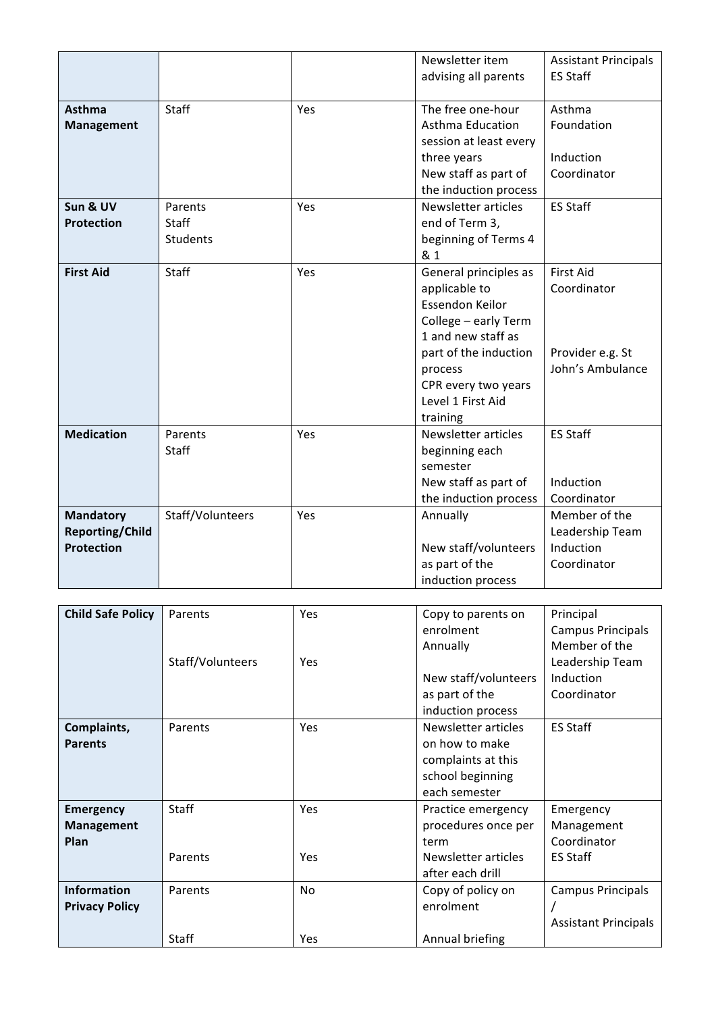|                                                                 |                                     |     | Newsletter item<br>advising all parents                                                                                                                                                             | <b>Assistant Principals</b><br><b>ES Staff</b>                          |
|-----------------------------------------------------------------|-------------------------------------|-----|-----------------------------------------------------------------------------------------------------------------------------------------------------------------------------------------------------|-------------------------------------------------------------------------|
| Asthma<br><b>Management</b>                                     | <b>Staff</b>                        | Yes | The free one-hour<br><b>Asthma Education</b><br>session at least every<br>three years                                                                                                               | Asthma<br>Foundation<br>Induction                                       |
|                                                                 |                                     |     | New staff as part of<br>the induction process                                                                                                                                                       | Coordinator                                                             |
| Sun & UV<br><b>Protection</b>                                   | Parents<br>Staff<br><b>Students</b> | Yes | Newsletter articles<br>end of Term 3,<br>beginning of Terms 4<br>& 1                                                                                                                                | <b>ES Staff</b>                                                         |
| <b>First Aid</b>                                                | Staff                               | Yes | General principles as<br>applicable to<br>Essendon Keilor<br>College - early Term<br>1 and new staff as<br>part of the induction<br>process<br>CPR every two years<br>Level 1 First Aid<br>training | <b>First Aid</b><br>Coordinator<br>Provider e.g. St<br>John's Ambulance |
| <b>Medication</b>                                               | Parents<br>Staff                    | Yes | Newsletter articles<br>beginning each<br>semester<br>New staff as part of<br>the induction process                                                                                                  | <b>ES Staff</b><br>Induction<br>Coordinator                             |
| <b>Mandatory</b><br><b>Reporting/Child</b><br><b>Protection</b> | Staff/Volunteers                    | Yes | Annually<br>New staff/volunteers<br>as part of the<br>induction process                                                                                                                             | Member of the<br>Leadership Team<br>Induction<br>Coordinator            |

| <b>Child Safe Policy</b> | Parents          | <b>Yes</b> | Copy to parents on   | Principal                   |
|--------------------------|------------------|------------|----------------------|-----------------------------|
|                          |                  |            | enrolment            | Campus Principals           |
|                          |                  |            |                      |                             |
|                          |                  |            | Annually             | Member of the               |
|                          | Staff/Volunteers | <b>Yes</b> |                      | Leadership Team             |
|                          |                  |            | New staff/volunteers | Induction                   |
|                          |                  |            | as part of the       | Coordinator                 |
|                          |                  |            | induction process    |                             |
| Complaints,              | Parents          | Yes        | Newsletter articles  | <b>ES Staff</b>             |
| <b>Parents</b>           |                  |            | on how to make       |                             |
|                          |                  |            | complaints at this   |                             |
|                          |                  |            | school beginning     |                             |
|                          |                  |            | each semester        |                             |
| <b>Emergency</b>         | <b>Staff</b>     | Yes        | Practice emergency   | Emergency                   |
| <b>Management</b>        |                  |            | procedures once per  | Management                  |
| Plan                     |                  |            | term                 | Coordinator                 |
|                          | Parents          | Yes        | Newsletter articles  | <b>ES Staff</b>             |
|                          |                  |            | after each drill     |                             |
| <b>Information</b>       | Parents          | No         | Copy of policy on    | Campus Principals           |
| <b>Privacy Policy</b>    |                  |            | enrolment            |                             |
|                          |                  |            |                      | <b>Assistant Principals</b> |
|                          | Staff            | Yes        | Annual briefing      |                             |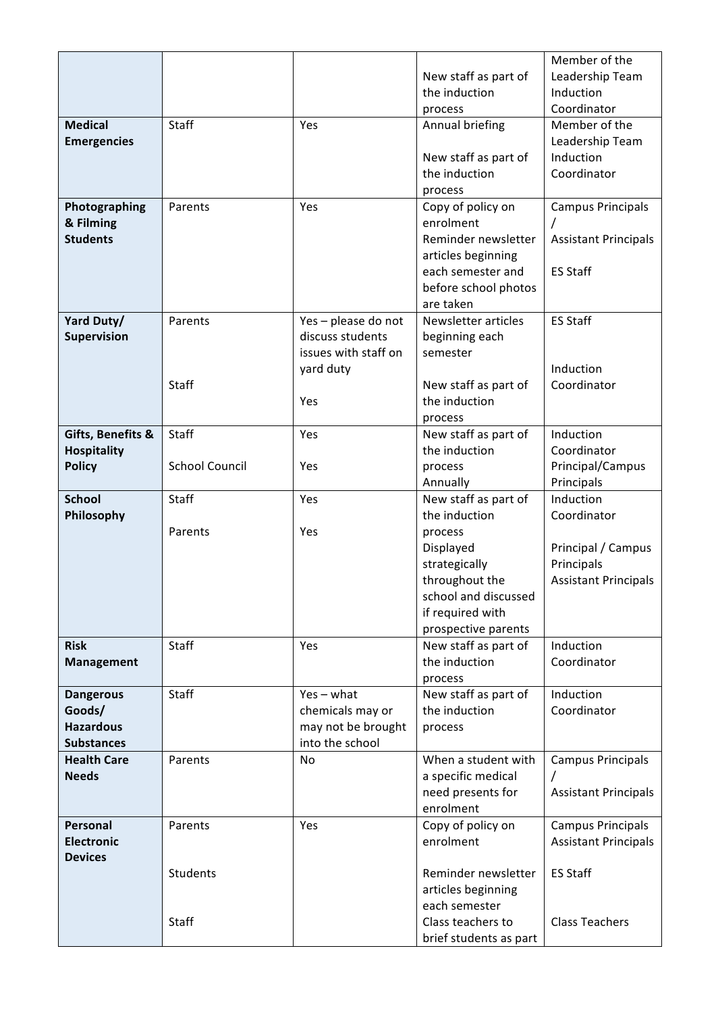|                                    |                       |                      |                                | Member of the                  |
|------------------------------------|-----------------------|----------------------|--------------------------------|--------------------------------|
|                                    |                       |                      | New staff as part of           | Leadership Team                |
|                                    |                       |                      | the induction                  | Induction                      |
|                                    |                       |                      | process                        | Coordinator                    |
| <b>Medical</b>                     | <b>Staff</b>          | Yes                  | Annual briefing                | Member of the                  |
| <b>Emergencies</b>                 |                       |                      |                                | Leadership Team                |
|                                    |                       |                      | New staff as part of           | Induction                      |
|                                    |                       |                      | the induction                  | Coordinator                    |
|                                    |                       |                      | process                        |                                |
| Photographing                      | Parents               | Yes                  | Copy of policy on              | <b>Campus Principals</b>       |
| & Filming                          |                       |                      | enrolment                      |                                |
| <b>Students</b>                    |                       |                      | Reminder newsletter            | <b>Assistant Principals</b>    |
|                                    |                       |                      | articles beginning             |                                |
|                                    |                       |                      | each semester and              | <b>ES Staff</b>                |
|                                    |                       |                      | before school photos           |                                |
|                                    |                       |                      | are taken                      |                                |
| Yard Duty/                         | Parents               | Yes-please do not    | Newsletter articles            | <b>ES Staff</b>                |
| Supervision                        |                       | discuss students     | beginning each                 |                                |
|                                    |                       | issues with staff on | semester                       |                                |
|                                    |                       | yard duty            |                                | Induction                      |
|                                    | Staff                 |                      | New staff as part of           | Coordinator                    |
|                                    |                       | Yes                  | the induction                  |                                |
|                                    |                       |                      | process                        |                                |
| Gifts, Benefits &                  | Staff                 | Yes                  | New staff as part of           | Induction                      |
| <b>Hospitality</b>                 | <b>School Council</b> |                      | the induction                  | Coordinator                    |
| <b>Policy</b>                      |                       | Yes                  | process<br>Annually            | Principal/Campus<br>Principals |
| <b>School</b>                      | Staff                 | Yes                  | New staff as part of           | Induction                      |
| Philosophy                         |                       |                      | the induction                  | Coordinator                    |
|                                    | Parents               | Yes                  | process                        |                                |
|                                    |                       |                      | Displayed                      | Principal / Campus             |
|                                    |                       |                      | strategically                  | Principals                     |
|                                    |                       |                      | throughout the                 | <b>Assistant Principals</b>    |
|                                    |                       |                      | school and discussed           |                                |
|                                    |                       |                      | if required with               |                                |
|                                    |                       |                      | prospective parents            |                                |
| <b>Risk</b>                        | Staff                 | Yes                  | New staff as part of           | Induction                      |
| <b>Management</b>                  |                       |                      | the induction                  | Coordinator                    |
|                                    |                       |                      | process                        |                                |
| <b>Dangerous</b>                   | Staff                 | $Yes - what$         | New staff as part of           | Induction                      |
| Goods/                             |                       | chemicals may or     | the induction                  | Coordinator                    |
| <b>Hazardous</b>                   |                       | may not be brought   | process                        |                                |
| <b>Substances</b>                  |                       | into the school      |                                |                                |
| <b>Health Care</b><br><b>Needs</b> | Parents               | No                   | When a student with            | <b>Campus Principals</b>       |
|                                    |                       |                      | a specific medical             |                                |
|                                    |                       |                      | need presents for<br>enrolment | <b>Assistant Principals</b>    |
| Personal                           | Parents               | Yes                  | Copy of policy on              | <b>Campus Principals</b>       |
| <b>Electronic</b>                  |                       |                      | enrolment                      | <b>Assistant Principals</b>    |
| <b>Devices</b>                     |                       |                      |                                |                                |
|                                    | Students              |                      | Reminder newsletter            | <b>ES Staff</b>                |
|                                    |                       |                      | articles beginning             |                                |
|                                    |                       |                      | each semester                  |                                |
|                                    | Staff                 |                      | Class teachers to              | <b>Class Teachers</b>          |
|                                    |                       |                      | brief students as part         |                                |